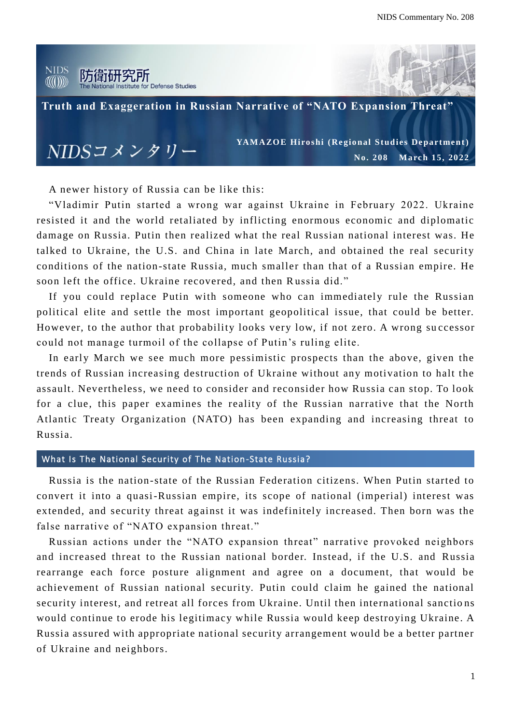

A newer history of Russia can be like this:

"Vladimir Putin started a wrong war against Ukraine in February 2022. Ukraine resisted it and the world retaliated by inflicting enormous economic and diplomatic damage on Russia. Putin then realized what the real Russian national interest was. He talked to Ukraine, the U.S. and China in late March, and obtained the real security conditions of the nation-state Russia, much smaller than that of a Russian empire. He soon left the office. Ukraine recovered, and then Russia did."

If you could replace Putin with someone who can immediately rule the Russian political elite and settle the most important geopolitical issue, that could be better. However, to the author that probability looks very low, if not zero. A wrong su ccessor could not manage turmoil of the collapse of Putin's ruling elite.

In early March we see much more pessimistic prospects than the above, given the trends of Russian increasing destruction of Ukraine without any motivation to halt the assault. Nevertheless, we need to consider and reconsider how Russia can stop. To look for a clue, this paper examines the reality of the Russian narrative that the North Atlantic Treaty Organization (NATO) has been expanding and increasing threat to Russia.

## What Is The National Security of The Nation-State Russia?

Russia is the nation-state of the Russian Federation citizens. When Putin started to convert it into a quasi-Russian empire, its scope of national (imperial) interest was extended, and security threat against it was indefinitely increased. Then born was the false narrative of "NATO expansion threat."

Russian actions under the "NATO expansion threat" narrative provoked neighbors and increased threat to the Russian national border. Instead, if the U.S. and Russia rearrange each force posture alignment and agree on a document, that would be achievement of Russian national security. Putin could claim he gained the national security interest, and retreat all forces from Ukraine. Until then international sanctio ns would continue to erode his legitimacy while Russia would keep destroying Ukraine. A Russia assured with appropriate national security arrangement would be a better partner of Ukraine and neighbors.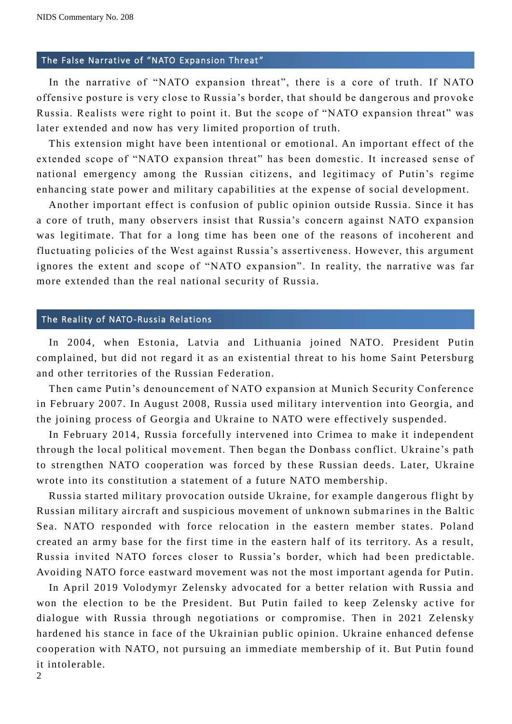## The False Narrative of "NATO Expansion Threat "

In the narrative of "NATO expansion threat", there is a core of truth. If NATO offensive posture is very close to Russia's border, that should be dangerous and provoke Russia. Realists were right to point it. But the scope of "NATO expansion threat" was later extended and now has very limited proportion of truth.

This extension might have been intentional or emotional. An important effect of the extended scope of "NATO expansion threat" has been domestic. It increased sense of national emergency among the Russian citizens, and legitimacy of Putin's regime enhancing state power and military capabilities at the expense of social development.

Another important effect is confusion of public opinion outside Russia. Since it has a core of truth, many observers insist that Russia's concern against NATO expansion was legitimate. That for a long time has been one of the reasons of incoherent and fluctuating policies of the West against Russia's assertiveness. However, this argument ignores the extent and scope of "NATO expansion". In reality, the narrative was far more extended than the real national security of Russia.

## The Reality of NATO-Russia Relations

In 2004, when Estonia, Latvia and Lithuania joined NATO. President Putin complained, but did not regard it as an existential threat to his home Saint Petersburg and other territories of the Russian Federation.

Then came Putin's denouncement of NATO expansion at Munich Security Conference in February 2007. In August 2008, Russia used military intervention into Georgia, and the joining process of Georgia and Ukraine to NATO were effectively suspended.

 In February 2014, Russia forcefully intervened into Crimea to make it independent through the local political movement. Then began the Donbass conflict. Ukraine's path to strengthen NATO cooperation was forced by these Russian deeds. Later, Ukraine wrote into its constitution a statement of a future NATO membership.

Russia started military provocation outside Ukraine, for example dangerous flight by Russian military aircraft and suspicious movement of unknown subma rines in the Baltic Sea. NATO responded with force relocation in the eastern member states. Poland created an army base for the first time in the eastern half of its territory. As a result, Russia invited NATO forces closer to Russia's border, which had been predictable. Avoiding NATO force eastward movement was not the most important agenda for Putin.

In April 2019 Volodymyr Zelensky advocated for a better relation with Russia and won the election to be the President. But Putin failed to keep Zelensky ac tive for dialogue with Russia through negotiations or compromise. Then in 2021 Zelensky hardened his stance in face of the Ukrainian public opinion. Ukraine enhanced defense cooperation with NATO, not pursuing an immediate membership of it. But Putin found it intolerable.